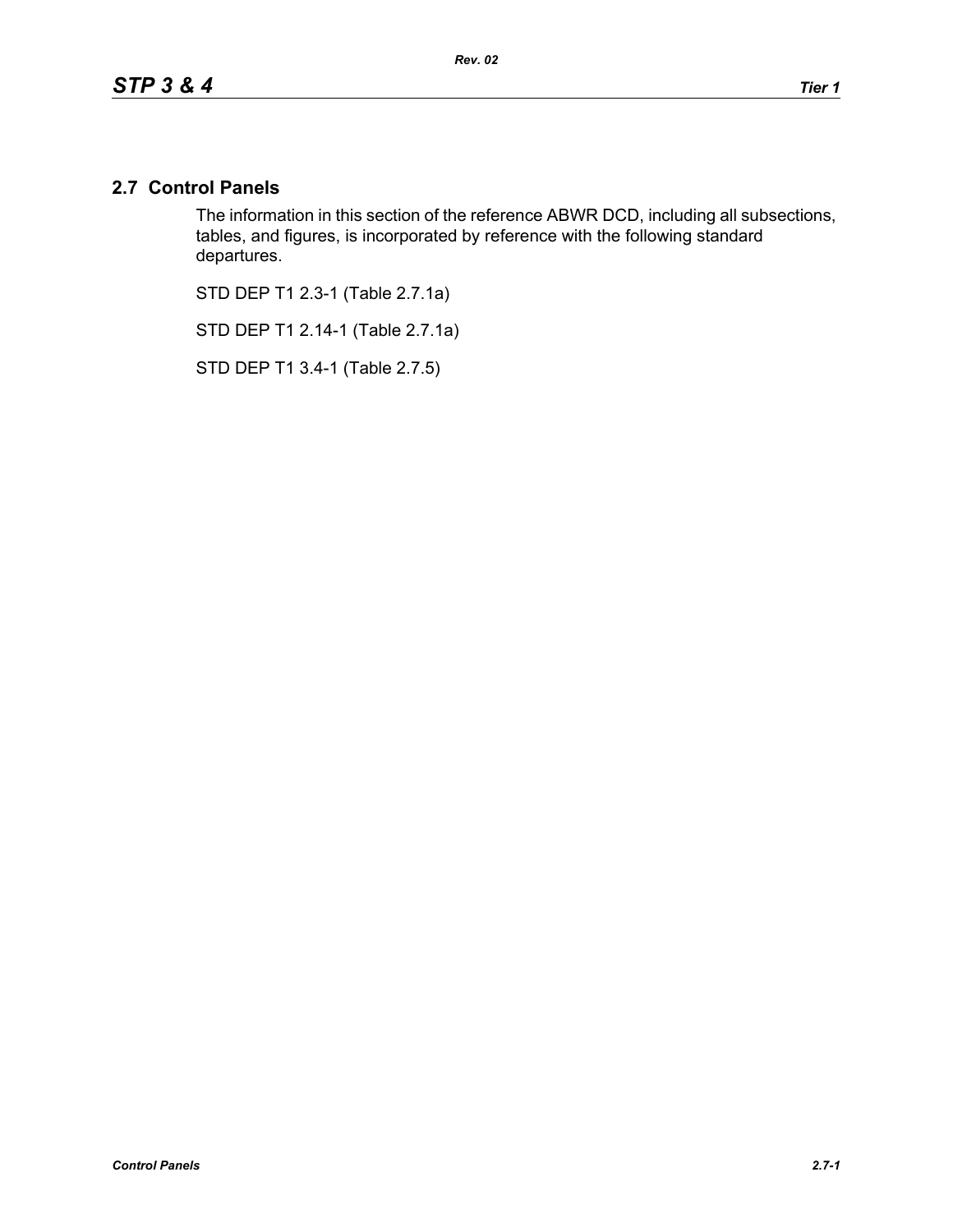# **2.7 Control Panels**

The information in this section of the reference ABWR DCD, including all subsections, tables, and figures, is incorporated by reference with the following standard departures.

STD DEP T1 2.3-1 (Table 2.7.1a)

STD DEP T1 2.14-1 (Table 2.7.1a)

STD DEP T1 3.4-1 (Table 2.7.5)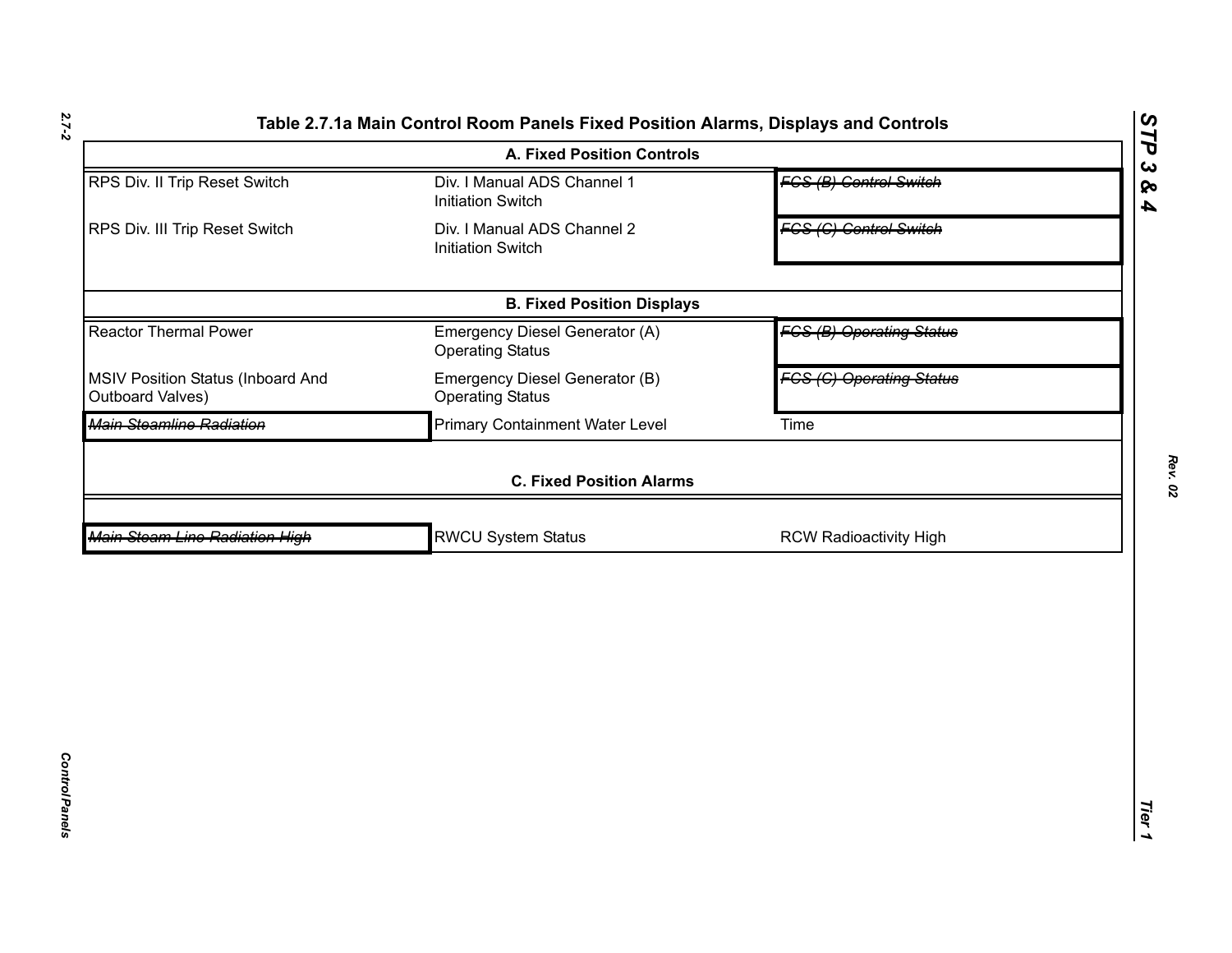|                                                       | <b>A. Fixed Position Controls</b>                         |                                 | STP                                            |
|-------------------------------------------------------|-----------------------------------------------------------|---------------------------------|------------------------------------------------|
| RPS Div. II Trip Reset Switch                         | Div. I Manual ADS Channel 1<br><b>Initiation Switch</b>   | <b>FCS (B) Control Switch</b>   | $\boldsymbol{\omega}$<br>ବ<br>$\blacktriangle$ |
| RPS Div. III Trip Reset Switch                        | Div. I Manual ADS Channel 2<br><b>Initiation Switch</b>   | <b>FCS (C) Control Switch</b>   |                                                |
|                                                       | <b>B. Fixed Position Displays</b>                         |                                 |                                                |
| <b>Reactor Thermal Power</b>                          | Emergency Diesel Generator (A)<br><b>Operating Status</b> | <b>FGS (B) Operating Status</b> |                                                |
| MSIV Position Status (Inboard And<br>Outboard Valves) | Emergency Diesel Generator (B)<br><b>Operating Status</b> | <b>FGS (G) Operating Status</b> |                                                |
| Main Steamline Radiation                              | <b>Primary Containment Water Level</b>                    | Time                            |                                                |
|                                                       | <b>C. Fixed Position Alarms</b>                           |                                 |                                                |
| Main Steam Line Radiation High                        | <b>RWCU System Status</b>                                 | <b>RCW Radioactivity High</b>   |                                                |
|                                                       |                                                           |                                 |                                                |
|                                                       |                                                           |                                 |                                                |
|                                                       |                                                           |                                 |                                                |
|                                                       |                                                           |                                 | Tier<br>↘                                      |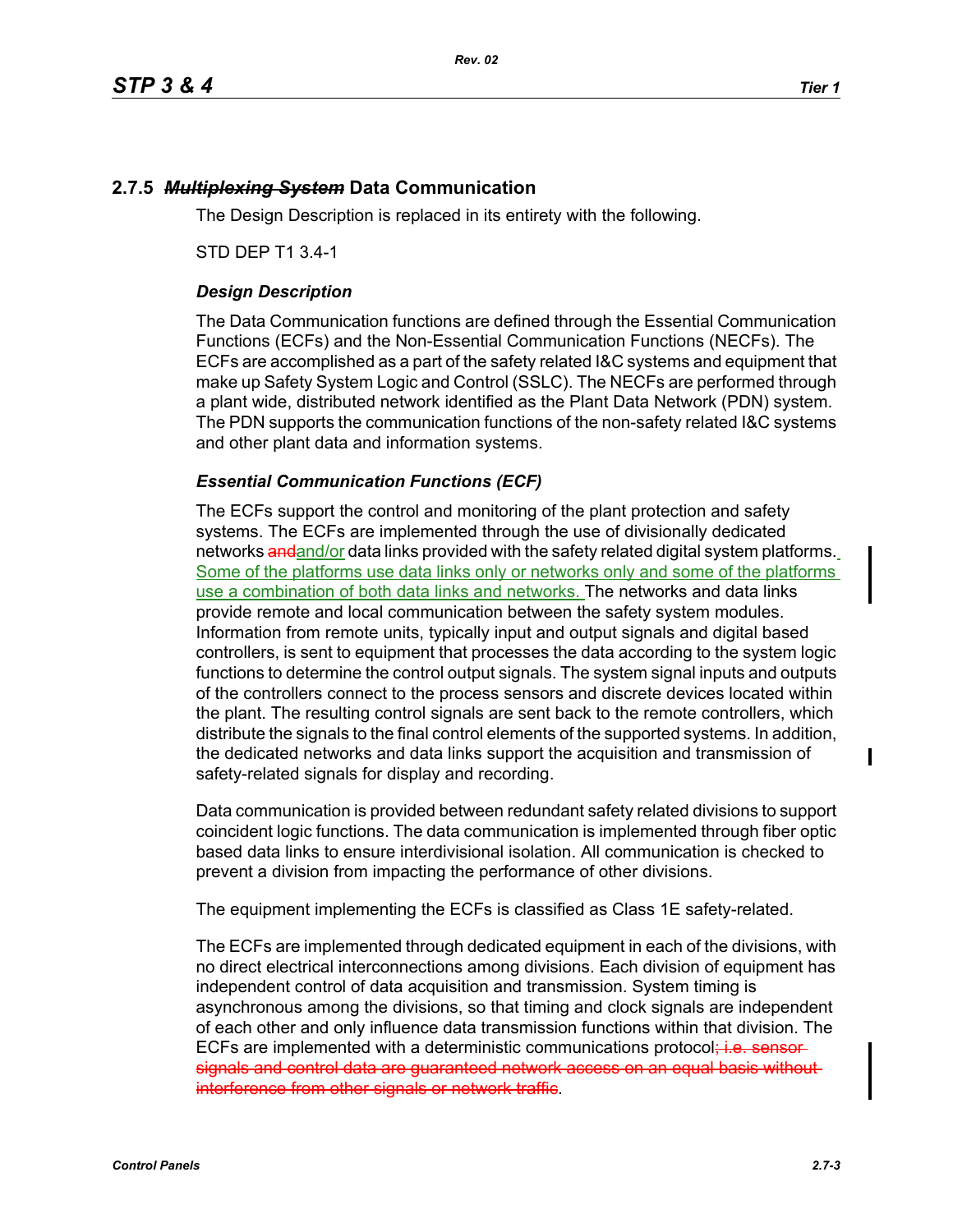# **2.7.5** *Multiplexing System* **Data Communication**

The Design Description is replaced in its entirety with the following.

STD DEP T1 3.4-1

## *Design Description*

The Data Communication functions are defined through the Essential Communication Functions (ECFs) and the Non-Essential Communication Functions (NECFs). The ECFs are accomplished as a part of the safety related I&C systems and equipment that make up Safety System Logic and Control (SSLC). The NECFs are performed through a plant wide, distributed network identified as the Plant Data Network (PDN) system. The PDN supports the communication functions of the non-safety related I&C systems and other plant data and information systems.

#### *Essential Communication Functions (ECF)*

The ECFs support the control and monitoring of the plant protection and safety systems. The ECFs are implemented through the use of divisionally dedicated networks and and/or data links provided with the safety related digital system platforms. Some of the platforms use data links only or networks only and some of the platforms use a combination of both data links and networks. The networks and data links provide remote and local communication between the safety system modules. Information from remote units, typically input and output signals and digital based controllers, is sent to equipment that processes the data according to the system logic functions to determine the control output signals. The system signal inputs and outputs of the controllers connect to the process sensors and discrete devices located within the plant. The resulting control signals are sent back to the remote controllers, which distribute the signals to the final control elements of the supported systems. In addition, the dedicated networks and data links support the acquisition and transmission of safety-related signals for display and recording.

Data communication is provided between redundant safety related divisions to support coincident logic functions. The data communication is implemented through fiber optic based data links to ensure interdivisional isolation. All communication is checked to prevent a division from impacting the performance of other divisions.

The equipment implementing the ECFs is classified as Class 1E safety-related.

The ECFs are implemented through dedicated equipment in each of the divisions, with no direct electrical interconnections among divisions. Each division of equipment has independent control of data acquisition and transmission. System timing is asynchronous among the divisions, so that timing and clock signals are independent of each other and only influence data transmission functions within that division. The ECFs are implemented with a deterministic communications protocol<del>; i.e. sensor</del>signals and control data are guaranteed network access on an equal basis without interference from other signals or network traffic.

Π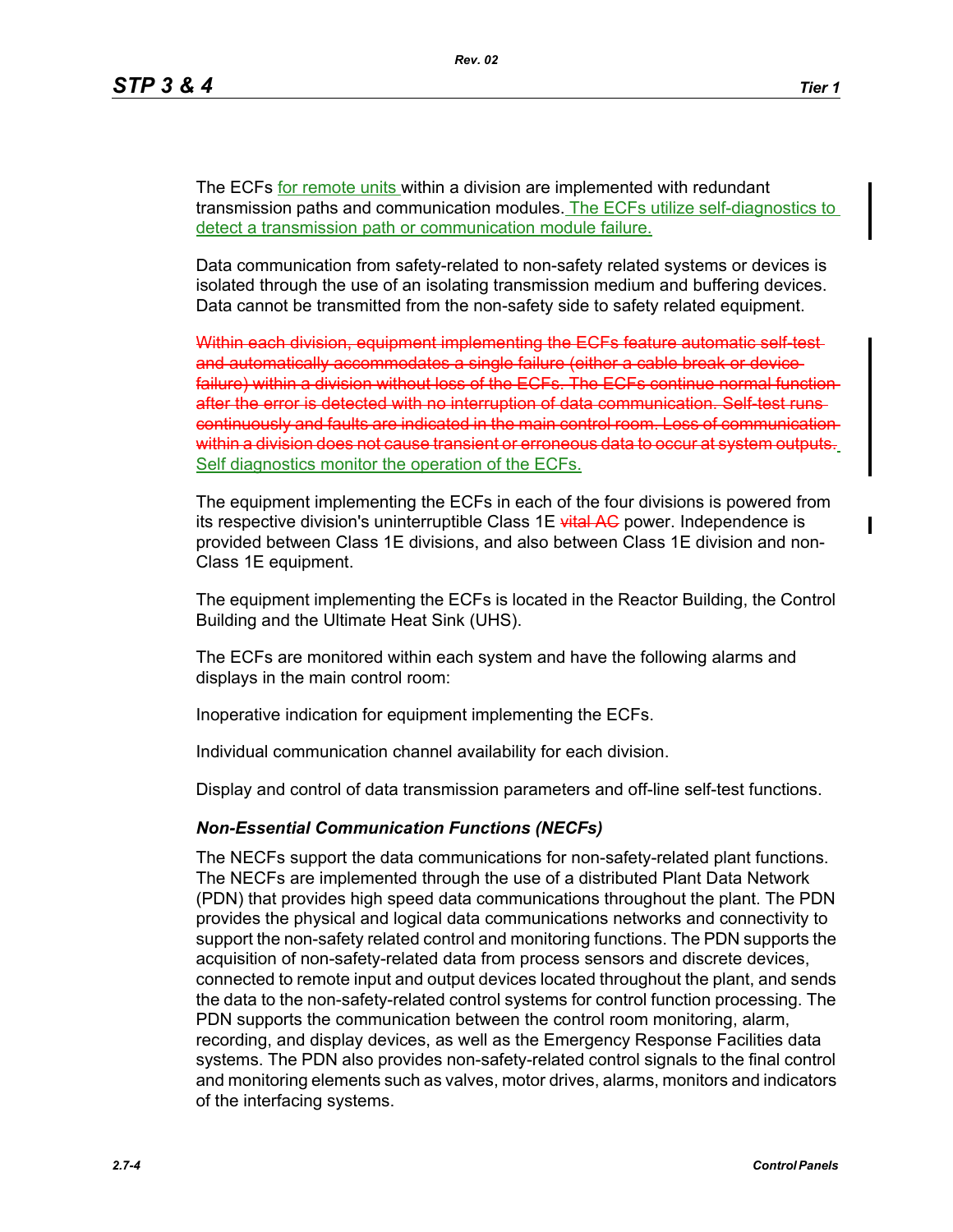$\blacksquare$ 

The ECFs for remote units within a division are implemented with redundant transmission paths and communication modules. The ECFs utilize self-diagnostics to detect a transmission path or communication module failure.

Data communication from safety-related to non-safety related systems or devices is isolated through the use of an isolating transmission medium and buffering devices. Data cannot be transmitted from the non-safety side to safety related equipment.

Within each division, equipment implementing the ECFs feature automatic self-testand automatically accommodates a single failure (either a cable break or device failure) within a division without loss of the ECFs. The ECFs continue normal function after the error is detected with no interruption of data communication continuously and faults are indicated in the main control room. Loss within a division does not cause transient or erroneous data to occur Self diagnostics monitor the operation of the ECFs.

The equipment implementing the ECFs in each of the four divisions is powered from its respective division's uninterruptible Class 1E vital AG power. Independence is provided between Class 1E divisions, and also between Class 1E division and non-Class 1E equipment.

The equipment implementing the ECFs is located in the Reactor Building, the Control Building and the Ultimate Heat Sink (UHS).

The ECFs are monitored within each system and have the following alarms and displays in the main control room:

Inoperative indication for equipment implementing the ECFs.

Individual communication channel availability for each division.

Display and control of data transmission parameters and off-line self-test functions.

#### *Non-Essential Communication Functions (NECFs)*

The NECFs support the data communications for non-safety-related plant functions. The NECFs are implemented through the use of a distributed Plant Data Network (PDN) that provides high speed data communications throughout the plant. The PDN provides the physical and logical data communications networks and connectivity to support the non-safety related control and monitoring functions. The PDN supports the acquisition of non-safety-related data from process sensors and discrete devices, connected to remote input and output devices located throughout the plant, and sends the data to the non-safety-related control systems for control function processing. The PDN supports the communication between the control room monitoring, alarm, recording, and display devices, as well as the Emergency Response Facilities data systems. The PDN also provides non-safety-related control signals to the final control and monitoring elements such as valves, motor drives, alarms, monitors and indicators of the interfacing systems.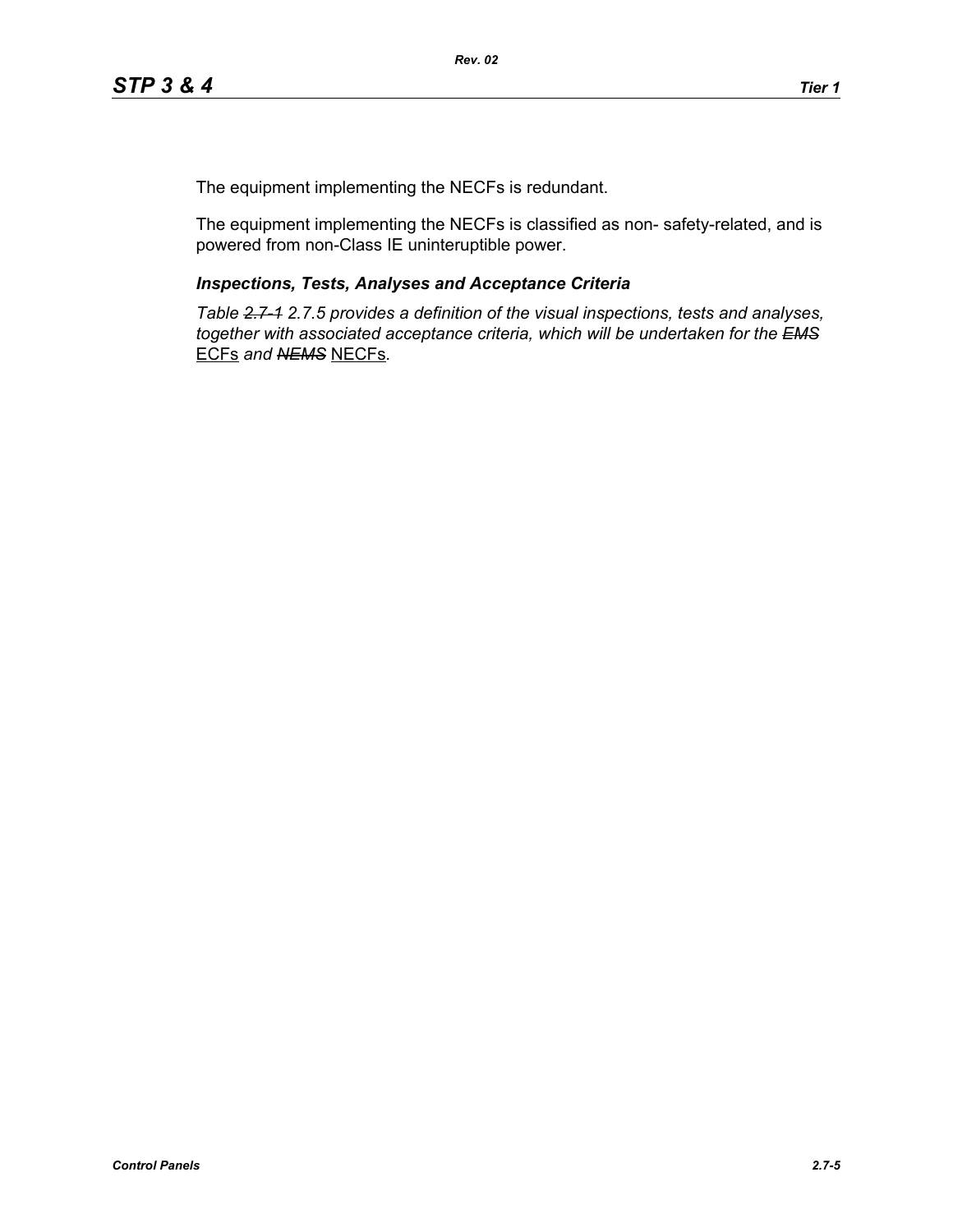The equipment implementing the NECFs is redundant.

The equipment implementing the NECFs is classified as non- safety-related, and is powered from non-Class IE uninteruptible power.

## *Inspections, Tests, Analyses and Acceptance Criteria*

*Table 2.7-1 2.7.5 provides a definition of the visual inspections, tests and analyses, together with associated acceptance criteria, which will be undertaken for the EMS* ECFs *and NEMS* NECFs*.*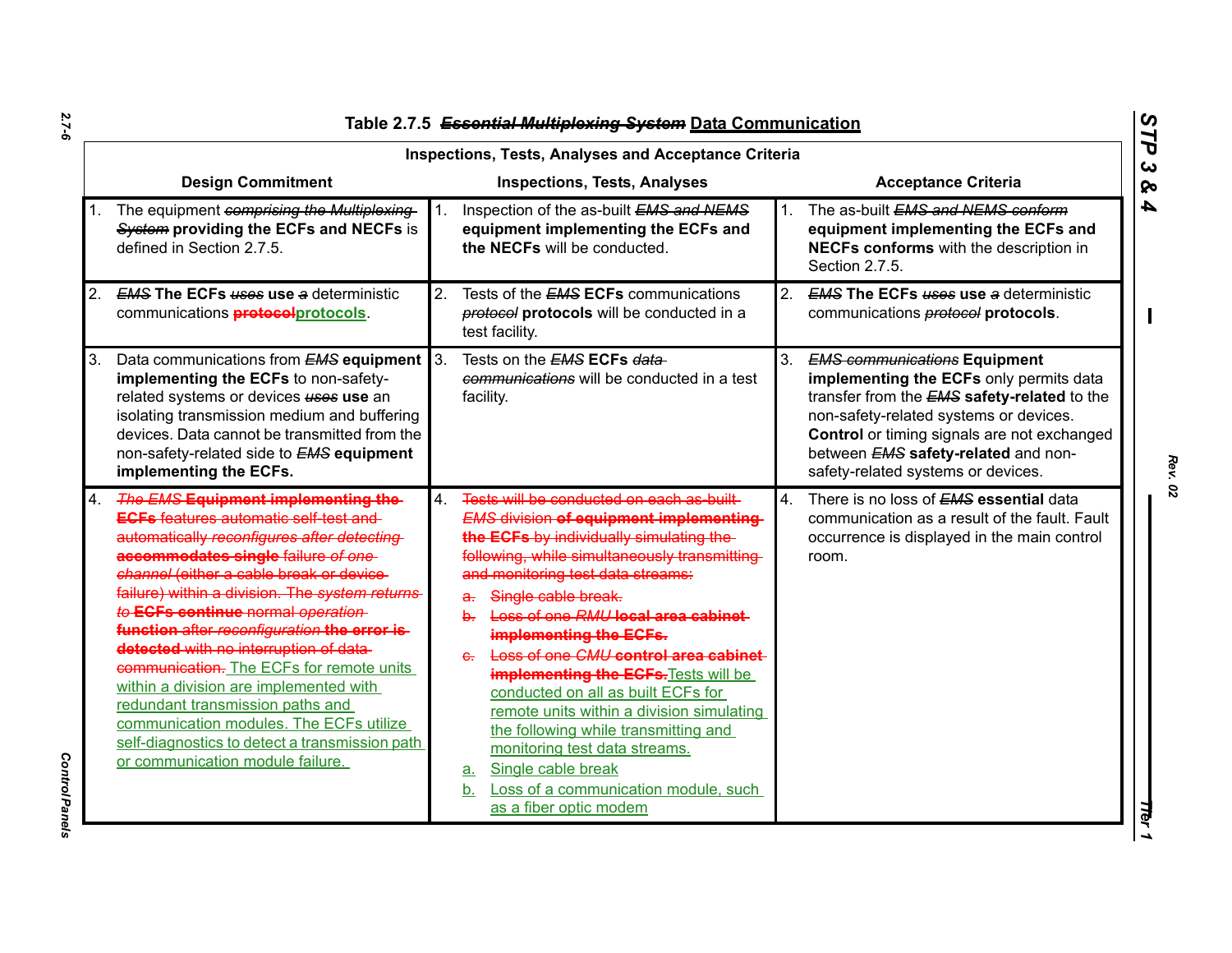|    | <b>Inspections, Tests, Analyses and Acceptance Criteria</b>                                                                                                                                                                                                                                                                                                                                                                                                                                                                                                                                                                                                     |                |                                                                                                                                                                                                                                                                                                                                                                                                                                                                                                                                                                                                                                                                                                        |         |                                                                                                                                                                                                                                                                                                                          |  |  |  |
|----|-----------------------------------------------------------------------------------------------------------------------------------------------------------------------------------------------------------------------------------------------------------------------------------------------------------------------------------------------------------------------------------------------------------------------------------------------------------------------------------------------------------------------------------------------------------------------------------------------------------------------------------------------------------------|----------------|--------------------------------------------------------------------------------------------------------------------------------------------------------------------------------------------------------------------------------------------------------------------------------------------------------------------------------------------------------------------------------------------------------------------------------------------------------------------------------------------------------------------------------------------------------------------------------------------------------------------------------------------------------------------------------------------------------|---------|--------------------------------------------------------------------------------------------------------------------------------------------------------------------------------------------------------------------------------------------------------------------------------------------------------------------------|--|--|--|
|    | <b>Design Commitment</b>                                                                                                                                                                                                                                                                                                                                                                                                                                                                                                                                                                                                                                        |                | <b>Inspections, Tests, Analyses</b>                                                                                                                                                                                                                                                                                                                                                                                                                                                                                                                                                                                                                                                                    |         | <b>Acceptance Criteria</b>                                                                                                                                                                                                                                                                                               |  |  |  |
|    | The equipment comprising the Multiplexing-<br>System providing the ECFs and NECFs is<br>defined in Section 2.7.5.                                                                                                                                                                                                                                                                                                                                                                                                                                                                                                                                               | 1.             | Inspection of the as-built EMS and NEMS<br>equipment implementing the ECFs and<br>the NECFs will be conducted.                                                                                                                                                                                                                                                                                                                                                                                                                                                                                                                                                                                         | $1_{-}$ | The as-built EMS and NEMS conform<br>equipment implementing the ECFs and<br>NECFs conforms with the description in<br>Section 2.7.5.                                                                                                                                                                                     |  |  |  |
| 2. | <b>EMS The ECFs uses use a deterministic</b><br>communications <b>protocol</b> protocols.                                                                                                                                                                                                                                                                                                                                                                                                                                                                                                                                                                       | 2.             | Tests of the <b>EMS ECFs</b> communications<br><b>protocol protocols</b> will be conducted in a<br>test facility.                                                                                                                                                                                                                                                                                                                                                                                                                                                                                                                                                                                      | 2.      | <b>EMS The ECFs uses use a deterministic</b><br>communications <b>protocol</b> protocols.                                                                                                                                                                                                                                |  |  |  |
| 3. | Data communications from <b>EMS equipment</b> 3.<br>implementing the ECFs to non-safety-<br>related systems or devices uses use an<br>isolating transmission medium and buffering<br>devices. Data cannot be transmitted from the<br>non-safety-related side to <b>EMS equipment</b><br>implementing the ECFs.                                                                                                                                                                                                                                                                                                                                                  |                | Tests on the <b>EMS ECFs data</b><br>communications will be conducted in a test<br>facility.                                                                                                                                                                                                                                                                                                                                                                                                                                                                                                                                                                                                           | 3.      | <b>EMS communications Equipment</b><br>implementing the ECFs only permits data<br>transfer from the <b>EMS</b> safety-related to the<br>non-safety-related systems or devices.<br><b>Control</b> or timing signals are not exchanged<br>between <b>EMS</b> safety-related and non-<br>safety-related systems or devices. |  |  |  |
| 4. | The EMS Equipment implementing the<br><b>ECFs</b> features automatic self-test and<br>automatically reconfigures after detecting-<br>accommodates single failure of one<br>channel (either a cable break or device-<br>failure) within a division. The system returns<br>to ECFs continue normal operation<br>function after reconfiguration the error is-<br>detected with no interruption of data-<br>communication. The ECFs for remote units<br>within a division are implemented with<br>redundant transmission paths and<br>communication modules. The ECFs utilize<br>self-diagnostics to detect a transmission path<br>or communication module failure. | $\overline{4}$ | Tests will be conducted on each as built-<br><b>EMS division of equipment implementing-</b><br>the ECFs by individually simulating the-<br>following, while simultaneously transmitting<br>and monitoring test data streams:<br>Single cable break.<br>a.<br>Loss of one RMU local area cabinet<br>$\mathbf{h}$<br>implementing the ECFs.<br>Loss of one CMU control area cabinet<br>e.<br><b>implementing the ECFs. Tests will be</b><br>conducted on all as built ECFs for<br>remote units within a division simulating<br>the following while transmitting and<br>monitoring test data streams.<br>Single cable break<br>a.<br>Loss of a communication module, such<br>b.<br>as a fiber optic modem | 4.      | There is no loss of <b>EMS</b> essential data<br>communication as a result of the fault. Fault<br>occurrence is displayed in the main control<br>room.                                                                                                                                                                   |  |  |  |